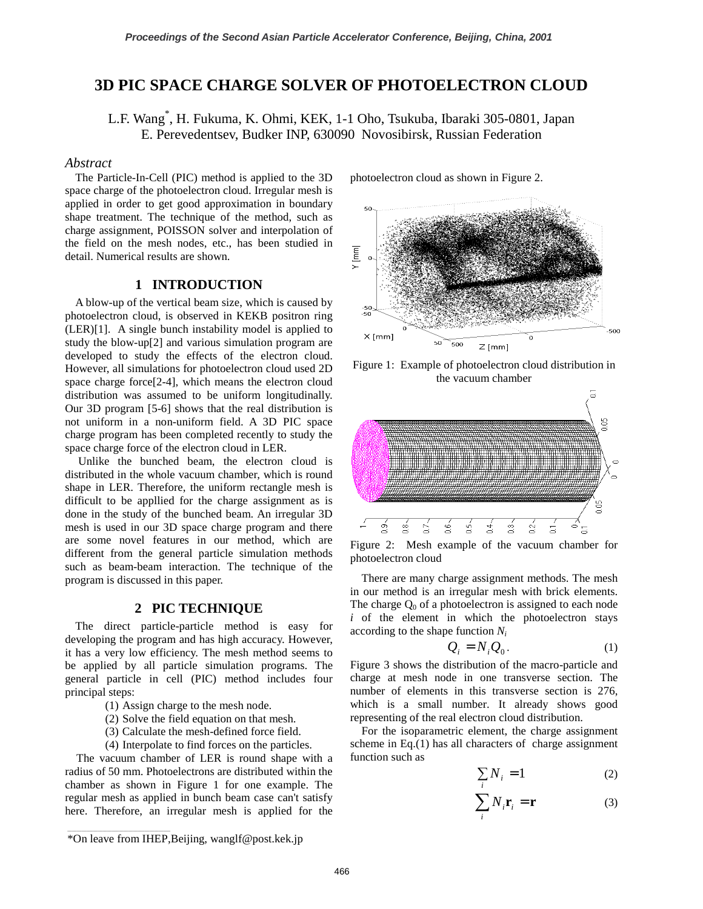# **3D PIC SPACE CHARGE SOLVER OF PHOTOELECTRON CLOUD**

L.F. Wang\* , H. Fukuma, K. Ohmi, KEK, 1-1 Oho, Tsukuba, Ibaraki 305-0801, Japan E. Perevedentsev, Budker INP, 630090 Novosibirsk, Russian Federation

### *Abstract*

The Particle-In-Cell (PIC) method is applied to the 3D space charge of the photoelectron cloud. Irregular mesh is applied in order to get good approximation in boundary shape treatment. The technique of the method, such as charge assignment, POISSON solver and interpolation of the field on the mesh nodes, etc., has been studied in detail. Numerical results are shown.

## **1 INTRODUCTION**

A blow-up of the vertical beam size, which is caused by photoelectron cloud, is observed in KEKB positron ring (LER)[1]. A single bunch instability model is applied to study the blow-up[2] and various simulation program are developed to study the effects of the electron cloud. However, all simulations for photoelectron cloud used 2D space charge force[2-4], which means the electron cloud distribution was assumed to be uniform longitudinally. Our 3D program [5-6] shows that the real distribution is not uniform in a non-uniform field. A 3D PIC space charge program has been completed recently to study the space charge force of the electron cloud in LER.

 Unlike the bunched beam, the electron cloud is distributed in the whole vacuum chamber, which is round shape in LER. Therefore, the uniform rectangle mesh is difficult to be appllied for the charge assignment as is done in the study of the bunched beam. An irregular 3D mesh is used in our 3D space charge program and there are some novel features in our method, which are different from the general particle simulation methods such as beam-beam interaction. The technique of the program is discussed in this paper.

#### **2 PIC TECHNIQUE**

The direct particle-particle method is easy for developing the program and has high accuracy. However, it has a very low efficiency. The mesh method seems to be applied by all particle simulation programs. The general particle in cell (PIC) method includes four principal steps:

- (1) Assign charge to the mesh node.
- (2) Solve the field equation on that mesh.
- (3) Calculate the mesh-defined force field.
- (4) Interpolate to find forces on the particles.

The vacuum chamber of LER is round shape with a radius of 50 mm. Photoelectrons are distributed within the chamber as shown in Figure 1 for one example. The regular mesh as applied in bunch beam case can't satisfy here. Therefore, an irregular mesh is applied for the photoelectron cloud as shown in Figure 2.



Figure 1: Example of photoelectron cloud distribution in the vacuum chamber



Figure 2: Mesh example of the vacuum chamber for photoelectron cloud

There are many charge assignment methods. The mesh in our method is an irregular mesh with brick elements. The charge  $Q_0$  of a photoelectron is assigned to each node  $i$  of the element in which the photoelectron stays according to the shape function *Ni*

$$
Q_i = N_i Q_0. \tag{1}
$$

Figure 3 shows the distribution of the macro-particle and charge at mesh node in one transverse section. The number of elements in this transverse section is 276, which is a small number. It already shows good representing of the real electron cloud distribution.

For the isoparametric element, the charge assignment scheme in Eq.(1) has all characters of charge assignment function such as

$$
\sum_{i} N_{i} = 1 \tag{2}
$$

$$
\sum_{i} N_{i} \mathbf{r}_{i} = \mathbf{r}
$$
 (3)

\_\_\_\_\_\_\_\_\_\_\_\_\_\_\_\_\_\_\_\_\_\_\_\_\_\_\_\_\_\_\_\_\_\_\_\_\_\_\_\_\_\_\_\_

<sup>\*</sup>On leave from IHEP,Beijing, wanglf@post.kek.jp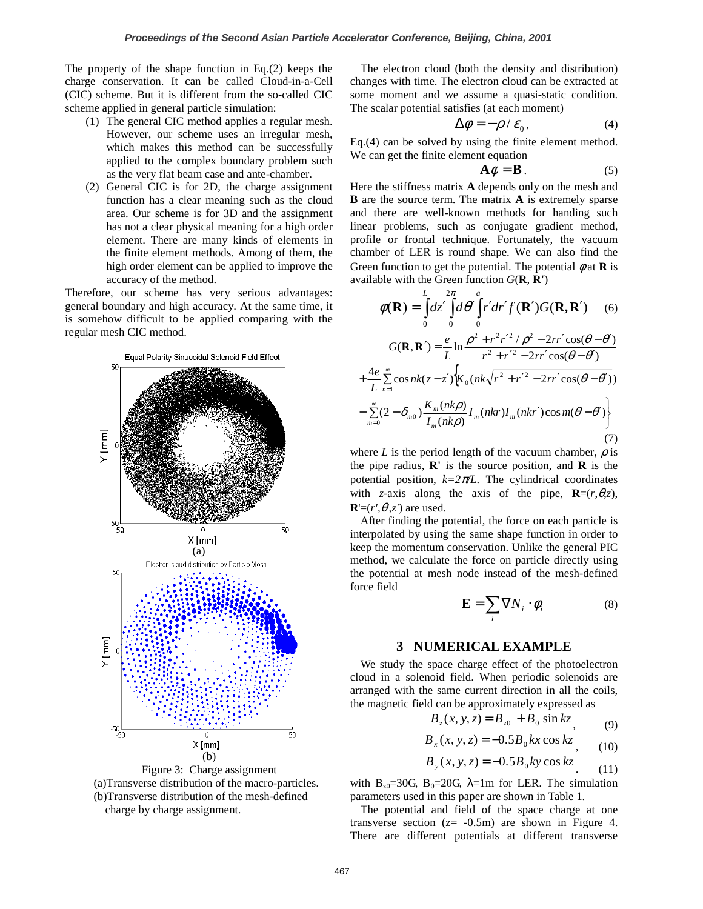The property of the shape function in Eq.(2) keeps the charge conservation. It can be called Cloud-in-a-Cell (CIC) scheme. But it is different from the so-called CIC scheme applied in general particle simulation:

- (1) The general CIC method applies a regular mesh. However, our scheme uses an irregular mesh, which makes this method can be successfully applied to the complex boundary problem such as the very flat beam case and ante-chamber.
- (2) General CIC is for 2D, the charge assignment function has a clear meaning such as the cloud area. Our scheme is for 3D and the assignment has not a clear physical meaning for a high order element. There are many kinds of elements in the finite element methods. Among of them, the high order element can be applied to improve the accuracy of the method.

Therefore, our scheme has very serious advantages: general boundary and high accuracy. At the same time, it is somehow difficult to be applied comparing with the regular mesh CIC method.





The electron cloud (both the density and distribution) changes with time. The electron cloud can be extracted at some moment and we assume a quasi-static condition. The scalar potential satisfies (at each moment)

$$
\Delta \phi = -\rho / \varepsilon_0, \qquad (4)
$$

Eq.(4) can be solved by using the finite element method. We can get the finite element equation

$$
\mathbf{A}\phi = \mathbf{B} \tag{5}
$$

Here the stiffness matrix **A** depends only on the mesh and **B** are the source term. The matrix **A** is extremely sparse and there are well-known methods for handing such linear problems, such as conjugate gradient method, profile or frontal technique. Fortunately, the vacuum chamber of LER is round shape. We can also find the Green function to get the potential. The potential  $\phi$  at **R** is available with the Green function *G*(**R**, **R'**)

$$
\phi(\mathbf{R}) = \int_{0}^{L} dz' \int_{0}^{2\pi} d\theta' \int_{0}^{a} r' dr' f(\mathbf{R'}) G(\mathbf{R}, \mathbf{R'}) \quad (6)
$$

$$
G(\mathbf{R}, \mathbf{R'}) = \frac{e}{L} \ln \frac{\rho^2 + r^2 r'^2 / \rho^2 - 2rr' \cos(\theta - \theta')}{r^2 + r'^2 - 2rr' \cos(\theta - \theta')}
$$

$$
+ \frac{4e}{L} \sum_{n=1}^{\infty} \cos nk(z - z') \Big\{ K_0 (nk \sqrt{r^2 + r'^2 - 2rr' \cos(\theta - \theta')})
$$

$$
- \sum_{m=0}^{\infty} (2 - \delta_{m0}) \frac{K_m(nk\rho)}{I_m(nk\rho)} I_m(nkr) I_m(nkr') \cos m(\theta - \theta') \Big\}
$$
(7)

where *L* is the period length of the vacuum chamber,  $\rho$  is the pipe radius, **R'** is the source position, and **R** is the potential position,  $k=2\pi/L$ . The cylindrical coordinates with *z*-axis along the axis of the pipe,  $\mathbf{R}=(r,\theta,z)$ ,  ${\bf R} = (r', \theta, z')$  are used.

After finding the potential, the force on each particle is interpolated by using the same shape function in order to keep the momentum conservation. Unlike the general PIC method, we calculate the force on particle directly using the potential at mesh node instead of the mesh-defined force field

$$
\mathbf{E} = \sum_{i} \nabla N_i \cdot \boldsymbol{\phi}_i \tag{8}
$$

### **3 NUMERICAL EXAMPLE**

We study the space charge effect of the photoelectron cloud in a solenoid field. When periodic solenoids are arranged with the same current direction in all the coils, the magnetic field can be approximately expressed as

$$
B_z(x, y, z) = B_{z0} + B_0 \sin kz, \tag{9}
$$

$$
B_x(x, y, z) = -0.5B_0 kx \cos kz, \qquad (10)
$$

$$
B_y(x, y, z) = -0.5B_0 \, \text{ky} \cos kz \tag{11}
$$

with B<sub>z0</sub>=30G, B<sub>0</sub>=20G,  $\lambda$ =1m for LER. The simulation parameters used in this paper are shown in Table 1.

The potential and field of the space charge at one transverse section  $(z = -0.5m)$  are shown in Figure 4. There are different potentials at different transverse